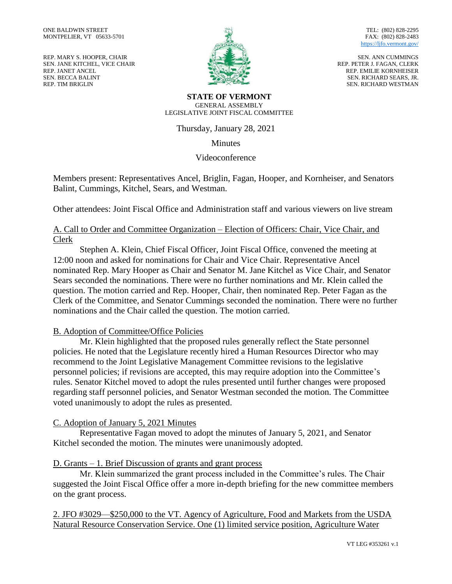REP. MARY S. HOOPER, CHAIR SEN. JANE KITCHEL, VICE CHAIR REP. JANET ANCEL SEN. BECCA BALINT REP. TIM BRIGLIN



TEL: (802) 828-2295 FAX: (802) 828-2483 <https://ljfo.vermont.gov/>

SEN. ANN CUMMINGS REP. PETER J. FAGAN, CLERK REP. EMILIE KORNHEISER SEN. RICHARD SEARS, JR. SEN. RICHARD WESTMAN

**STATE OF VERMONT** GENERAL ASSEMBLY LEGISLATIVE JOINT FISCAL COMMITTEE

Thursday, January 28, 2021

**Minutes** 

Videoconference

Members present: Representatives Ancel, Briglin, Fagan, Hooper, and Kornheiser, and Senators Balint, Cummings, Kitchel, Sears, and Westman.

Other attendees: Joint Fiscal Office and Administration staff and various viewers on live stream

## A. Call to Order and Committee Organization – Election of Officers: Chair, Vice Chair, and Clerk

Stephen A. Klein, Chief Fiscal Officer, Joint Fiscal Office, convened the meeting at 12:00 noon and asked for nominations for Chair and Vice Chair. Representative Ancel nominated Rep. Mary Hooper as Chair and Senator M. Jane Kitchel as Vice Chair, and Senator Sears seconded the nominations. There were no further nominations and Mr. Klein called the question. The motion carried and Rep. Hooper, Chair, then nominated Rep. Peter Fagan as the Clerk of the Committee, and Senator Cummings seconded the nomination. There were no further nominations and the Chair called the question. The motion carried.

## B. Adoption of Committee/Office Policies

Mr. Klein highlighted that the proposed rules generally reflect the State personnel policies. He noted that the Legislature recently hired a Human Resources Director who may recommend to the Joint Legislative Management Committee revisions to the legislative personnel policies; if revisions are accepted, this may require adoption into the Committee's rules. Senator Kitchel moved to adopt the rules presented until further changes were proposed regarding staff personnel policies, and Senator Westman seconded the motion. The Committee voted unanimously to adopt the rules as presented.

## C. Adoption of January 5, 2021 Minutes

Representative Fagan moved to adopt the minutes of January 5, 2021, and Senator Kitchel seconded the motion. The minutes were unanimously adopted.

## D. Grants – 1. Brief Discussion of grants and grant process

Mr. Klein summarized the grant process included in the Committee's rules. The Chair suggested the Joint Fiscal Office offer a more in-depth briefing for the new committee members on the grant process.

2. JFO #3029—\$250,000 to the VT. Agency of Agriculture, Food and Markets from the USDA Natural Resource Conservation Service. One (1) limited service position, Agriculture Water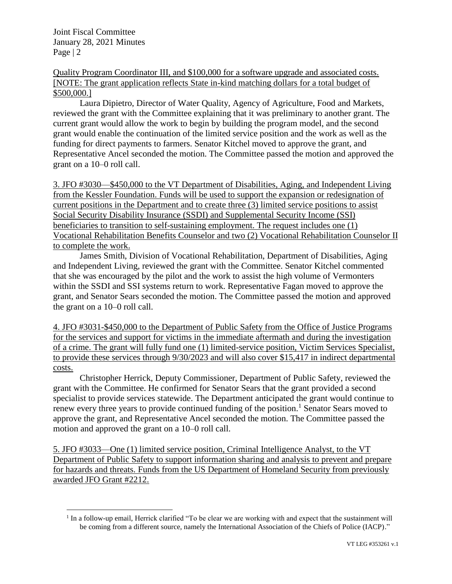Joint Fiscal Committee January 28, 2021 Minutes Page | 2

 $\overline{a}$ 

Quality Program Coordinator III, and \$100,000 for a software upgrade and associated costs. [NOTE: The grant application reflects State in-kind matching dollars for a total budget of \$500,000.]

Laura Dipietro, Director of Water Quality, Agency of Agriculture, Food and Markets, reviewed the grant with the Committee explaining that it was preliminary to another grant. The current grant would allow the work to begin by building the program model, and the second grant would enable the continuation of the limited service position and the work as well as the funding for direct payments to farmers. Senator Kitchel moved to approve the grant, and Representative Ancel seconded the motion. The Committee passed the motion and approved the grant on a 10–0 roll call.

3. JFO #3030—\$450,000 to the VT Department of Disabilities, Aging, and Independent Living from the Kessler Foundation. Funds will be used to support the expansion or redesignation of current positions in the Department and to create three (3) limited service positions to assist Social Security Disability Insurance (SSDI) and Supplemental Security Income (SSI) beneficiaries to transition to self-sustaining employment. The request includes one (1) Vocational Rehabilitation Benefits Counselor and two (2) Vocational Rehabilitation Counselor II to complete the work.

James Smith, Division of Vocational Rehabilitation, Department of Disabilities, Aging and Independent Living, reviewed the grant with the Committee. Senator Kitchel commented that she was encouraged by the pilot and the work to assist the high volume of Vermonters within the SSDI and SSI systems return to work. Representative Fagan moved to approve the grant, and Senator Sears seconded the motion. The Committee passed the motion and approved the grant on a 10–0 roll call.

4. JFO #3031-\$450,000 to the Department of Public Safety from the Office of Justice Programs for the services and support for victims in the immediate aftermath and during the investigation of a crime. The grant will fully fund one (1) limited-service position, Victim Services Specialist, to provide these services through 9/30/2023 and will also cover \$15,417 in indirect departmental costs.

Christopher Herrick, Deputy Commissioner, Department of Public Safety, reviewed the grant with the Committee. He confirmed for Senator Sears that the grant provided a second specialist to provide services statewide. The Department anticipated the grant would continue to renew every three years to provide continued funding of the position.<sup>1</sup> Senator Sears moved to approve the grant, and Representative Ancel seconded the motion. The Committee passed the motion and approved the grant on a 10–0 roll call.

5. JFO #3033—One (1) limited service position, Criminal Intelligence Analyst, to the VT Department of Public Safety to support information sharing and analysis to prevent and prepare for hazards and threats. Funds from the US Department of Homeland Security from previously awarded JFO Grant #2212.

<sup>&</sup>lt;sup>1</sup> In a follow-up email, Herrick clarified "To be clear we are working with and expect that the sustainment will be coming from a different source, namely the International Association of the Chiefs of Police (IACP)."